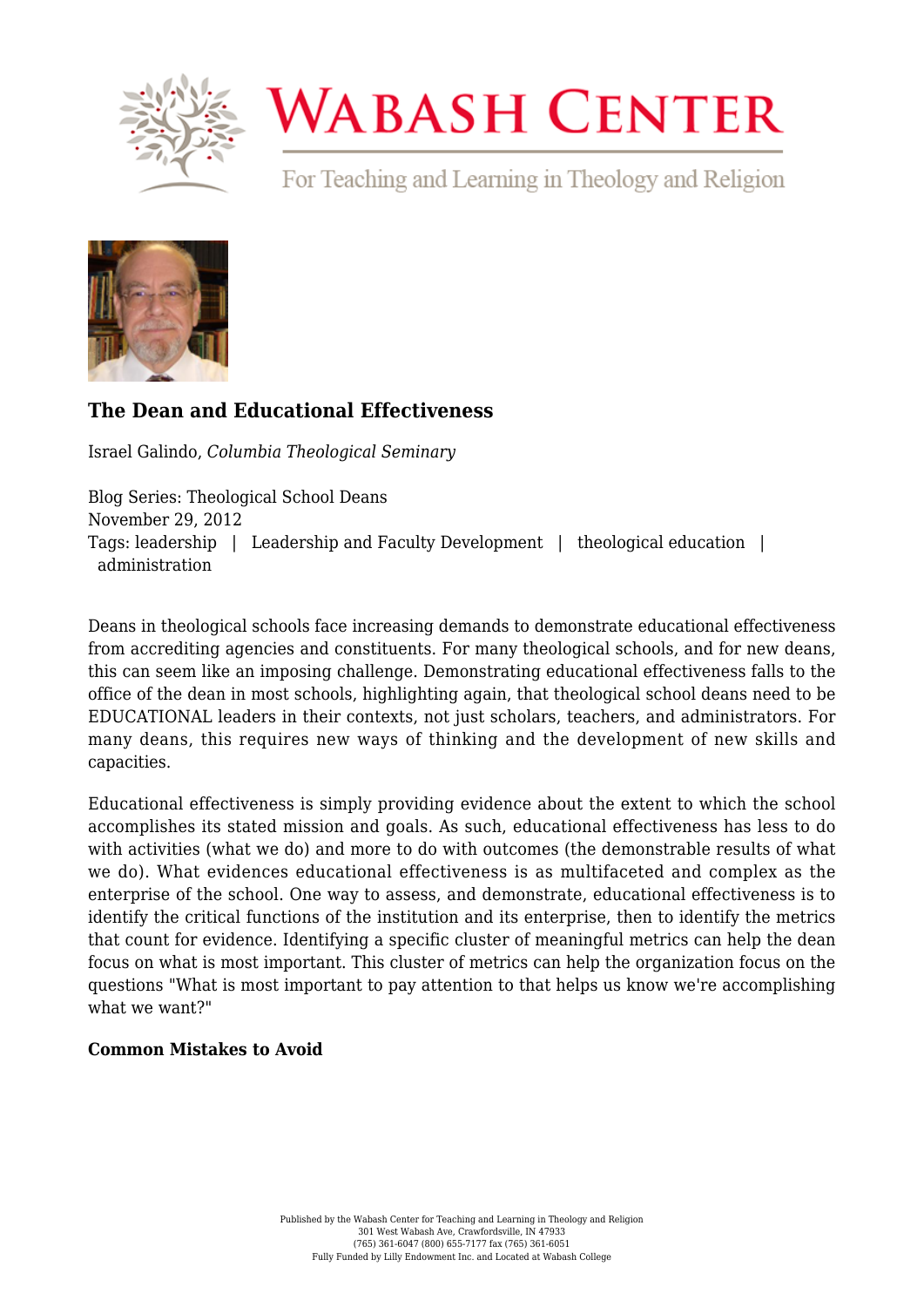

# **WABASH CENTER**

For Teaching and Learning in Theology and Religion



## **[The Dean and Educational Effectiveness](https://www.wabashcenter.wabash.edu/2012/11/the-dean-and-educational-effectiveness/)**

Israel Galindo, *Columbia Theological Seminary*

Blog Series: Theological School Deans November 29, 2012 Tags: leadership | Leadership and Faculty Development | theological education | administration

Deans in theological schools face increasing demands to demonstrate educational effectiveness from accrediting agencies and constituents. For many theological schools, and for new deans, this can seem like an imposing challenge. Demonstrating educational effectiveness falls to the office of the dean in most schools, highlighting again, that theological school deans need to be EDUCATIONAL leaders in their contexts, not just scholars, teachers, and administrators. For many deans, this requires new ways of thinking and the development of new skills and capacities.

Educational effectiveness is simply providing evidence about the extent to which the school accomplishes its stated mission and goals. As such, educational effectiveness has less to do with activities (what we do) and more to do with outcomes (the demonstrable results of what we do). What evidences educational effectiveness is as multifaceted and complex as the enterprise of the school. One way to assess, and demonstrate, educational effectiveness is to identify the critical functions of the institution and its enterprise, then to identify the metrics that count for evidence. Identifying a specific cluster of meaningful metrics can help the dean focus on what is most important. This cluster of metrics can help the organization focus on the questions "What is most important to pay attention to that helps us know we're accomplishing what we want?"

### **Common Mistakes to Avoid**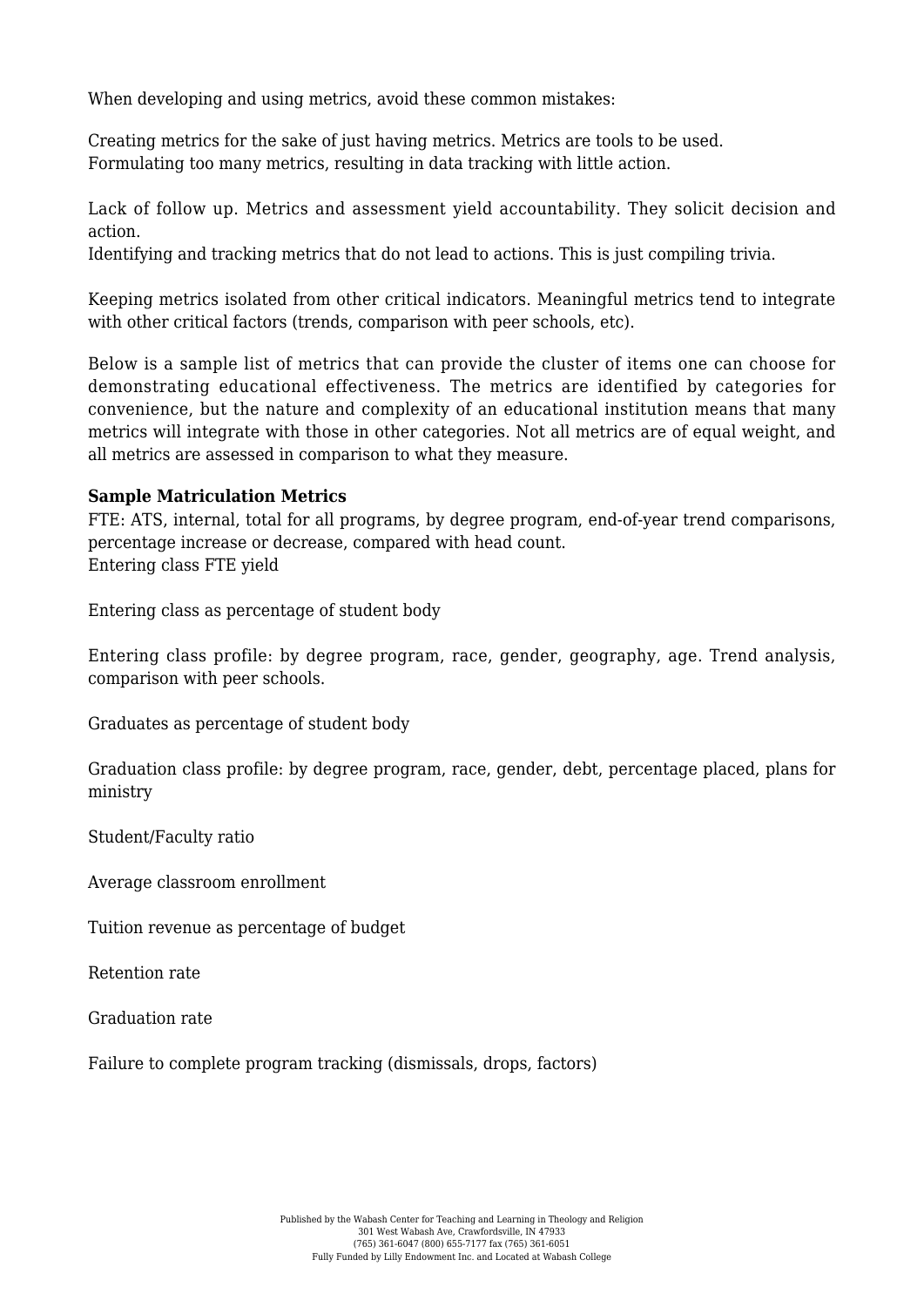When developing and using metrics, avoid these common mistakes:

Creating metrics for the sake of just having metrics. Metrics are tools to be used. Formulating too many metrics, resulting in data tracking with little action.

Lack of follow up. Metrics and assessment yield accountability. They solicit decision and action.

Identifying and tracking metrics that do not lead to actions. This is just compiling trivia.

Keeping metrics isolated from other critical indicators. Meaningful metrics tend to integrate with other critical factors (trends, comparison with peer schools, etc).

Below is a sample list of metrics that can provide the cluster of items one can choose for demonstrating educational effectiveness. The metrics are identified by categories for convenience, but the nature and complexity of an educational institution means that many metrics will integrate with those in other categories. Not all metrics are of equal weight, and all metrics are assessed in comparison to what they measure.

#### **Sample Matriculation Metrics**

FTE: ATS, internal, total for all programs, by degree program, end-of-year trend comparisons, percentage increase or decrease, compared with head count. Entering class FTE yield

Entering class as percentage of student body

Entering class profile: by degree program, race, gender, geography, age. Trend analysis, comparison with peer schools.

Graduates as percentage of student body

Graduation class profile: by degree program, race, gender, debt, percentage placed, plans for ministry

Student/Faculty ratio

Average classroom enrollment

Tuition revenue as percentage of budget

Retention rate

Graduation rate

Failure to complete program tracking (dismissals, drops, factors)